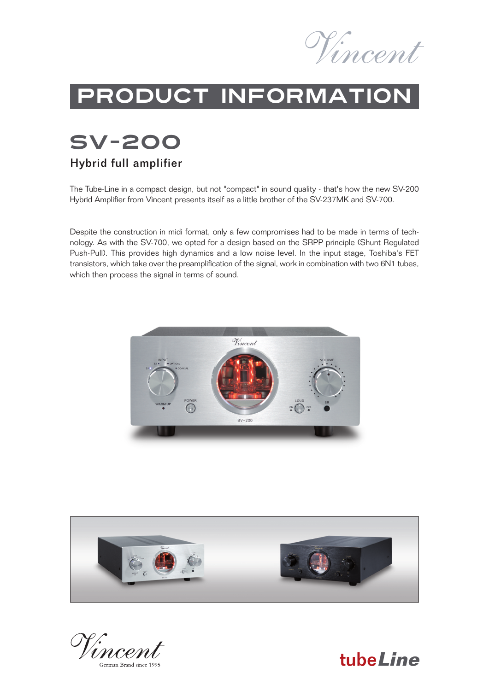

# Product information

# SV-200

#### Hybrid full amplifier

The Tube-Line in a compact design, but not "compact" in sound quality - that's how the new SV-200 Hybrid Amplifier from Vincent presents itself as a little brother of the SV-237MK and SV-700.

Despite the construction in midi format, only a few compromises had to be made in terms of technology. As with the SV-700, we opted for a design based on the SRPP principle (Shunt Regulated Push-Pull). This provides high dynamics and a low noise level. In the input stage, Toshiba's FET transistors, which take over the preamplification of the signal, work in combination with two 6N1 tubes, which then process the signal in terms of sound.





tube**Line**